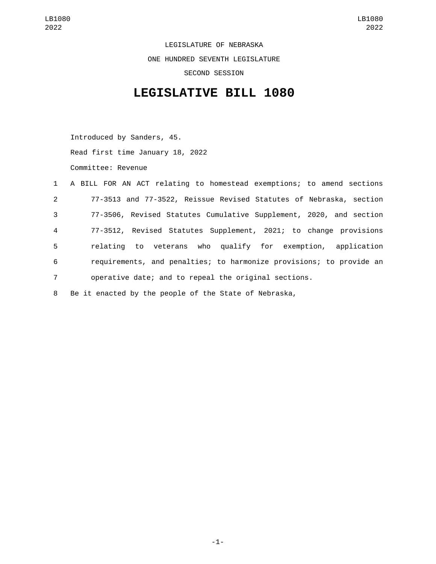LEGISLATURE OF NEBRASKA ONE HUNDRED SEVENTH LEGISLATURE SECOND SESSION

## **LEGISLATIVE BILL 1080**

Introduced by Sanders, 45. Read first time January 18, 2022 Committee: Revenue

|                 | 1 A BILL FOR AN ACT relating to homestead exemptions; to amend sections |
|-----------------|-------------------------------------------------------------------------|
| $2^{\circ}$     | 77-3513 and 77-3522, Reissue Revised Statutes of Nebraska, section      |
| $\mathbf{3}$    | 77-3506, Revised Statutes Cumulative Supplement, 2020, and section      |
| $\overline{4}$  | 77-3512, Revised Statutes Supplement, 2021; to change provisions        |
| 5               | relating to veterans who qualify for exemption, application             |
| 6               | requirements, and penalties; to harmonize provisions; to provide an     |
| $7\overline{ }$ | operative date; and to repeal the original sections.                    |
| 8               | Be it enacted by the people of the State of Nebraska,                   |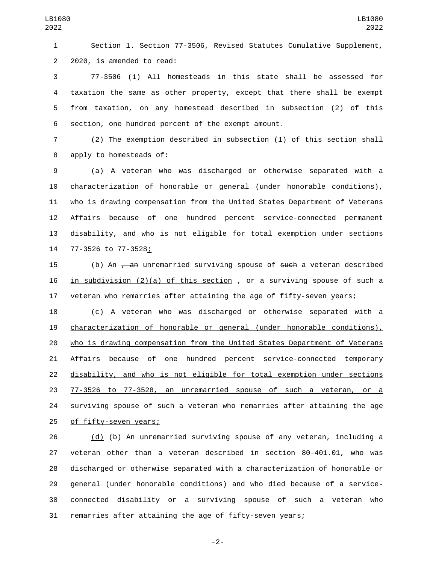Section 1. Section 77-3506, Revised Statutes Cumulative Supplement, 2 2020, is amended to read:

 77-3506 (1) All homesteads in this state shall be assessed for taxation the same as other property, except that there shall be exempt from taxation, on any homestead described in subsection (2) of this 6 section, one hundred percent of the exempt amount.

 (2) The exemption described in subsection (1) of this section shall 8 apply to homesteads of:

 (a) A veteran who was discharged or otherwise separated with a characterization of honorable or general (under honorable conditions), who is drawing compensation from the United States Department of Veterans Affairs because of one hundred percent service-connected permanent disability, and who is not eligible for total exemption under sections 77-3526 to 77-3528;14

15 (b) An <del>, an</del> unremarried surviving spouse of <del>such</del> a veteran described 16 in subdivision (2)(a) of this section  $\tau$  or a surviving spouse of such a veteran who remarries after attaining the age of fifty-seven years;

 (c) A veteran who was discharged or otherwise separated with a characterization of honorable or general (under honorable conditions), who is drawing compensation from the United States Department of Veterans 21 Affairs because of one hundred percent service-connected temporary disability, and who is not eligible for total exemption under sections 77-3526 to 77-3528, an unremarried spouse of such a veteran, or a 24 surviving spouse of such a veteran who remarries after attaining the age 25 of fifty-seven years;

26 (d)  $\left\{\uparrow\right\}$  An unremarried surviving spouse of any veteran, including a veteran other than a veteran described in section 80-401.01, who was discharged or otherwise separated with a characterization of honorable or general (under honorable conditions) and who died because of a service- connected disability or a surviving spouse of such a veteran who remarries after attaining the age of fifty-seven years;

-2-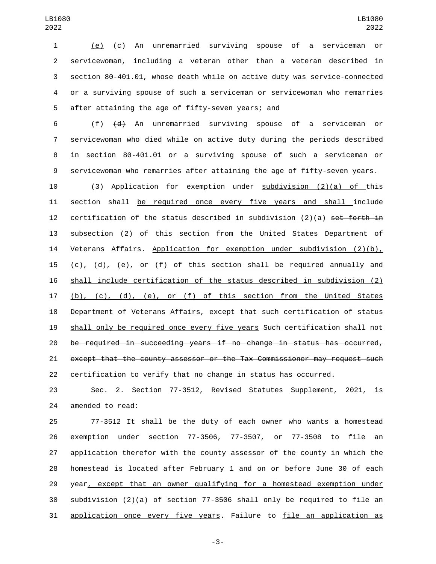(e) (c) An unremarried surviving spouse of a serviceman or servicewoman, including a veteran other than a veteran described in section 80-401.01, whose death while on active duty was service-connected or a surviving spouse of such a serviceman or servicewoman who remarries 5 after attaining the age of fifty-seven years; and

 (f) (d) An unremarried surviving spouse of a serviceman or servicewoman who died while on active duty during the periods described in section 80-401.01 or a surviving spouse of such a serviceman or servicewoman who remarries after attaining the age of fifty-seven years.

 (3) Application for exemption under subdivision (2)(a) of this section shall be required once every five years and shall include 12 certification of the status described in subdivision  $(2)(a)$  set forth in 13 subsection (2) of this section from the United States Department of 14 Veterans Affairs. Application for exemption under subdivision (2)(b), (c), (d), (e), or (f) of this section shall be required annually and shall include certification of the status described in subdivision (2) 17 (b), (c), (d), (e), or (f) of this section from the United States Department of Veterans Affairs, except that such certification of status shall only be required once every five years Such certification shall not be required in succeeding years if no change in status has occurred, except that the county assessor or the Tax Commissioner may request such certification to verify that no change in status has occurred.

 Sec. 2. Section 77-3512, Revised Statutes Supplement, 2021, is 24 amended to read:

 77-3512 It shall be the duty of each owner who wants a homestead exemption under section 77-3506, 77-3507, or 77-3508 to file an application therefor with the county assessor of the county in which the homestead is located after February 1 and on or before June 30 of each 29 year, except that an owner qualifying for a homestead exemption under subdivision (2)(a) of section 77-3506 shall only be required to file an application once every five years. Failure to file an application as

-3-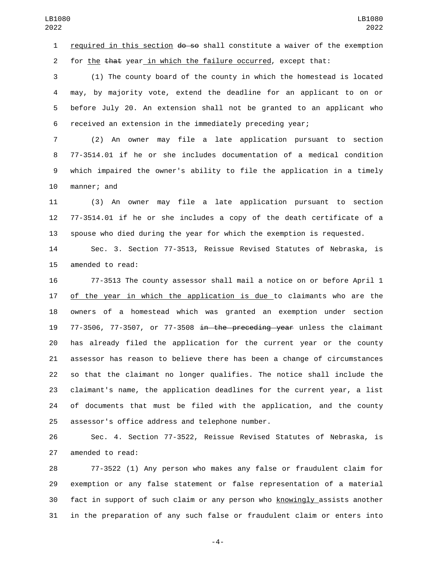1 required in this section  $\theta$  =  $\theta$  shall constitute a waiver of the exemption 2 for the that year in which the failure occurred, except that:

 (1) The county board of the county in which the homestead is located may, by majority vote, extend the deadline for an applicant to on or before July 20. An extension shall not be granted to an applicant who received an extension in the immediately preceding year;

 (2) An owner may file a late application pursuant to section 77-3514.01 if he or she includes documentation of a medical condition which impaired the owner's ability to file the application in a timely 10 manner; and

 (3) An owner may file a late application pursuant to section 77-3514.01 if he or she includes a copy of the death certificate of a spouse who died during the year for which the exemption is requested.

 Sec. 3. Section 77-3513, Reissue Revised Statutes of Nebraska, is 15 amended to read:

 77-3513 The county assessor shall mail a notice on or before April 1 17 of the year in which the application is due to claimants who are the owners of a homestead which was granted an exemption under section 77-3506, 77-3507, or 77-3508 in the preceding year unless the claimant has already filed the application for the current year or the county assessor has reason to believe there has been a change of circumstances so that the claimant no longer qualifies. The notice shall include the claimant's name, the application deadlines for the current year, a list of documents that must be filed with the application, and the county 25 assessor's office address and telephone number.

 Sec. 4. Section 77-3522, Reissue Revised Statutes of Nebraska, is 27 amended to read:

 77-3522 (1) Any person who makes any false or fraudulent claim for exemption or any false statement or false representation of a material fact in support of such claim or any person who knowingly assists another in the preparation of any such false or fraudulent claim or enters into

-4-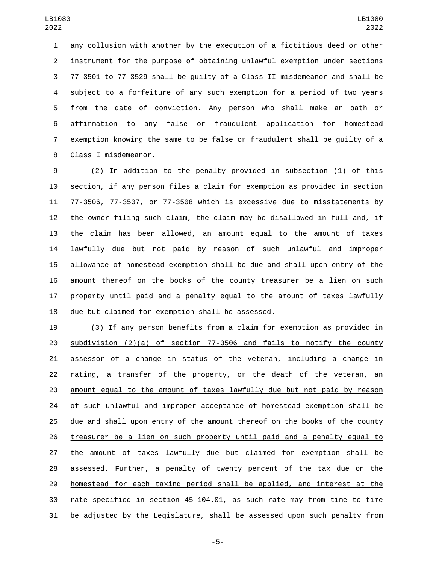any collusion with another by the execution of a fictitious deed or other instrument for the purpose of obtaining unlawful exemption under sections 77-3501 to 77-3529 shall be guilty of a Class II misdemeanor and shall be subject to a forfeiture of any such exemption for a period of two years from the date of conviction. Any person who shall make an oath or affirmation to any false or fraudulent application for homestead exemption knowing the same to be false or fraudulent shall be guilty of a 8 Class I misdemeanor.

 (2) In addition to the penalty provided in subsection (1) of this section, if any person files a claim for exemption as provided in section 77-3506, 77-3507, or 77-3508 which is excessive due to misstatements by the owner filing such claim, the claim may be disallowed in full and, if the claim has been allowed, an amount equal to the amount of taxes lawfully due but not paid by reason of such unlawful and improper allowance of homestead exemption shall be due and shall upon entry of the amount thereof on the books of the county treasurer be a lien on such property until paid and a penalty equal to the amount of taxes lawfully 18 due but claimed for exemption shall be assessed.

 (3) If any person benefits from a claim for exemption as provided in subdivision (2)(a) of section 77-3506 and fails to notify the county assessor of a change in status of the veteran, including a change in rating, a transfer of the property, or the death of the veteran, an amount equal to the amount of taxes lawfully due but not paid by reason 24 of such unlawful and improper acceptance of homestead exemption shall be due and shall upon entry of the amount thereof on the books of the county treasurer be a lien on such property until paid and a penalty equal to the amount of taxes lawfully due but claimed for exemption shall be assessed. Further, a penalty of twenty percent of the tax due on the homestead for each taxing period shall be applied, and interest at the rate specified in section 45-104.01, as such rate may from time to time be adjusted by the Legislature, shall be assessed upon such penalty from